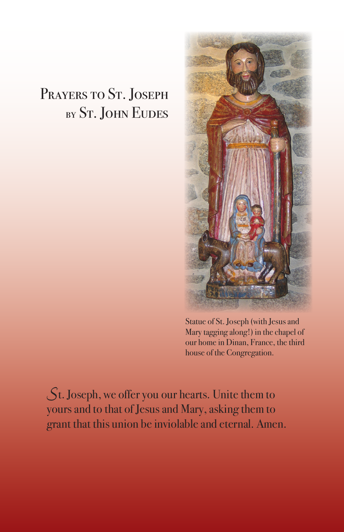## PRAYERS TO ST. JOSEPH by St. John Eudes



Statue of St. Joseph (with Jesus and Mary tagging along!) in the chapel of our home in Dinan, France, the third house of the Congregation.

*S*t. Joseph, we offer you our hearts. Unite them to yours and to that of Jesus and Mary, asking them to grant that this union be inviolable and eternal. Amen.